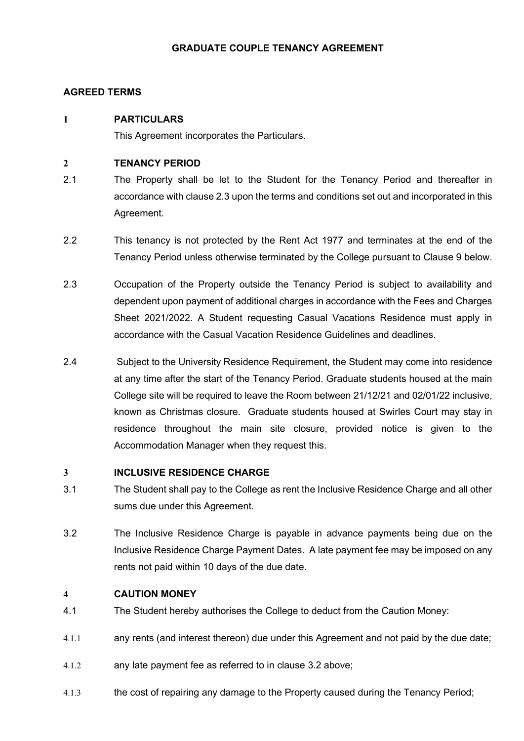# GRADUATE COUPLE TENANCY AGREEMENT

# AGREED TERMS

# 1 PARTICULARS

This Agreement incorporates the Particulars.

# 2 TENANCY PERIOD

- 2.1 The Property shall be let to the Student for the Tenancy Period and thereafter in accordance with clause 2.3 upon the terms and conditions set out and incorporated in this Agreement.
- 2.2 This tenancy is not protected by the Rent Act 1977 and terminates at the end of the Tenancy Period unless otherwise terminated by the College pursuant to Clause 9 below.
- 2.3 Occupation of the Property outside the Tenancy Period is subject to availability and dependent upon payment of additional charges in accordance with the Fees and Charges Sheet 2021/2022. A Student requesting Casual Vacations Residence must apply in accordance with the Casual Vacation Residence Guidelines and deadlines.
- 2.4 Subject to the University Residence Requirement, the Student may come into residence at any time after the start of the Tenancy Period. Graduate students housed at the main College site will be required to leave the Room between 21/12/21 and 02/01/22 inclusive, known as Christmas closure. Graduate students housed at Swirles Court may stay in residence throughout the main site closure, provided notice is given to the Accommodation Manager when they request this.

# 3 INCLUSIVE RESIDENCE CHARGE

- 3.1 The Student shall pay to the College as rent the Inclusive Residence Charge and all other sums due under this Agreement.
- 3.2 The Inclusive Residence Charge is payable in advance payments being due on the Inclusive Residence Charge Payment Dates. A late payment fee may be imposed on any rents not paid within 10 days of the due date.

# 4 CAUTION MONEY

- 4.1 The Student hereby authorises the College to deduct from the Caution Money:
- 4.1.1 any rents (and interest thereon) due under this Agreement and not paid by the due date;
- 4.1.2 any late payment fee as referred to in clause 3.2 above;
- 4.1.3 the cost of repairing any damage to the Property caused during the Tenancy Period;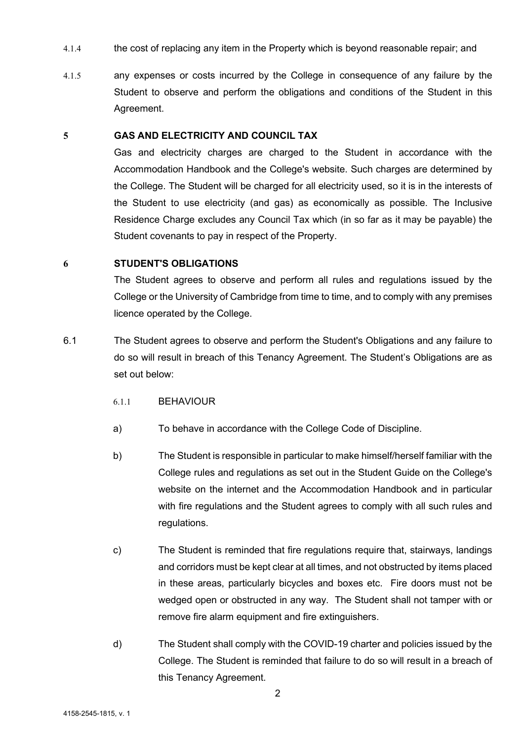- 4.1.4 the cost of replacing any item in the Property which is beyond reasonable repair; and
- 4.1.5 any expenses or costs incurred by the College in consequence of any failure by the Student to observe and perform the obligations and conditions of the Student in this Agreement.

### 5 GAS AND ELECTRICITY AND COUNCIL TAX

Gas and electricity charges are charged to the Student in accordance with the Accommodation Handbook and the College's website. Such charges are determined by the College. The Student will be charged for all electricity used, so it is in the interests of the Student to use electricity (and gas) as economically as possible. The Inclusive Residence Charge excludes any Council Tax which (in so far as it may be payable) the Student covenants to pay in respect of the Property.

## 6 STUDENT'S OBLIGATIONS

The Student agrees to observe and perform all rules and regulations issued by the College or the University of Cambridge from time to time, and to comply with any premises licence operated by the College.

- 6.1 The Student agrees to observe and perform the Student's Obligations and any failure to do so will result in breach of this Tenancy Agreement. The Student's Obligations are as set out below:
	- 6.1.1 BEHAVIOUR
	- a) To behave in accordance with the College Code of Discipline.
	- b) The Student is responsible in particular to make himself/herself familiar with the College rules and regulations as set out in the Student Guide on the College's website on the internet and the Accommodation Handbook and in particular with fire regulations and the Student agrees to comply with all such rules and regulations.
	- c) The Student is reminded that fire regulations require that, stairways, landings and corridors must be kept clear at all times, and not obstructed by items placed in these areas, particularly bicycles and boxes etc. Fire doors must not be wedged open or obstructed in any way. The Student shall not tamper with or remove fire alarm equipment and fire extinguishers.
	- d) The Student shall comply with the COVID-19 charter and policies issued by the College. The Student is reminded that failure to do so will result in a breach of this Tenancy Agreement.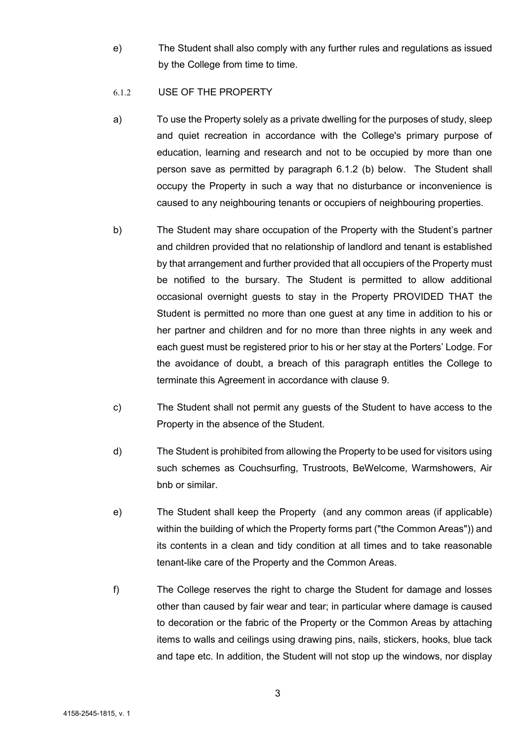e) The Student shall also comply with any further rules and regulations as issued by the College from time to time.

## 6.1.2 USE OF THE PROPERTY

- a) To use the Property solely as a private dwelling for the purposes of study, sleep and quiet recreation in accordance with the College's primary purpose of education, learning and research and not to be occupied by more than one person save as permitted by paragraph 6.1.2 (b) below. The Student shall occupy the Property in such a way that no disturbance or inconvenience is caused to any neighbouring tenants or occupiers of neighbouring properties.
- b) The Student may share occupation of the Property with the Student's partner and children provided that no relationship of landlord and tenant is established by that arrangement and further provided that all occupiers of the Property must be notified to the bursary. The Student is permitted to allow additional occasional overnight guests to stay in the Property PROVIDED THAT the Student is permitted no more than one guest at any time in addition to his or her partner and children and for no more than three nights in any week and each guest must be registered prior to his or her stay at the Porters' Lodge. For the avoidance of doubt, a breach of this paragraph entitles the College to terminate this Agreement in accordance with clause 9.
- c) The Student shall not permit any guests of the Student to have access to the Property in the absence of the Student.
- d) The Student is prohibited from allowing the Property to be used for visitors using such schemes as Couchsurfing, Trustroots, BeWelcome, Warmshowers, Air bnb or similar.
- e) The Student shall keep the Property (and any common areas (if applicable) within the building of which the Property forms part ("the Common Areas")) and its contents in a clean and tidy condition at all times and to take reasonable tenant-like care of the Property and the Common Areas.
- f) The College reserves the right to charge the Student for damage and losses other than caused by fair wear and tear; in particular where damage is caused to decoration or the fabric of the Property or the Common Areas by attaching items to walls and ceilings using drawing pins, nails, stickers, hooks, blue tack and tape etc. In addition, the Student will not stop up the windows, nor display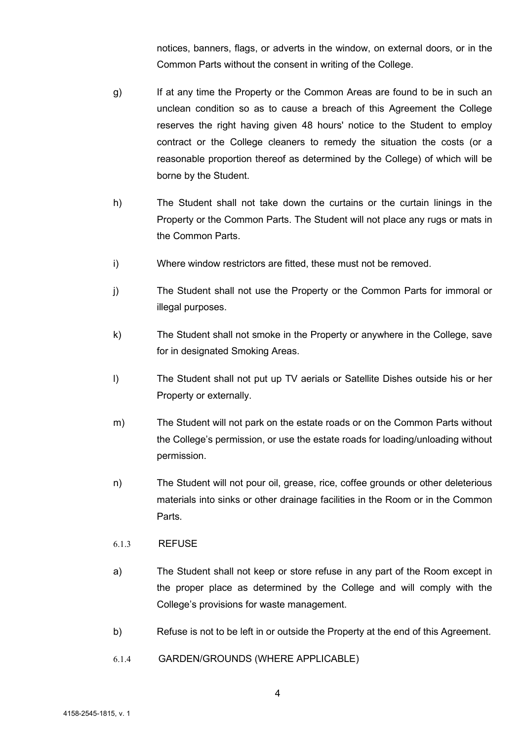notices, banners, flags, or adverts in the window, on external doors, or in the Common Parts without the consent in writing of the College.

- g) If at any time the Property or the Common Areas are found to be in such an unclean condition so as to cause a breach of this Agreement the College reserves the right having given 48 hours' notice to the Student to employ contract or the College cleaners to remedy the situation the costs (or a reasonable proportion thereof as determined by the College) of which will be borne by the Student.
- h) The Student shall not take down the curtains or the curtain linings in the Property or the Common Parts. The Student will not place any rugs or mats in the Common Parts.
- i) Where window restrictors are fitted, these must not be removed.
- j) The Student shall not use the Property or the Common Parts for immoral or illegal purposes.
- k) The Student shall not smoke in the Property or anywhere in the College, save for in designated Smoking Areas.
- l) The Student shall not put up TV aerials or Satellite Dishes outside his or her Property or externally.
- m) The Student will not park on the estate roads or on the Common Parts without the College's permission, or use the estate roads for loading/unloading without permission.
- n) The Student will not pour oil, grease, rice, coffee grounds or other deleterious materials into sinks or other drainage facilities in the Room or in the Common Parts.
- 6.1.3 REFUSE
- a) The Student shall not keep or store refuse in any part of the Room except in the proper place as determined by the College and will comply with the College's provisions for waste management.
- b) Refuse is not to be left in or outside the Property at the end of this Agreement.
- 6.1.4 GARDEN/GROUNDS (WHERE APPLICABLE)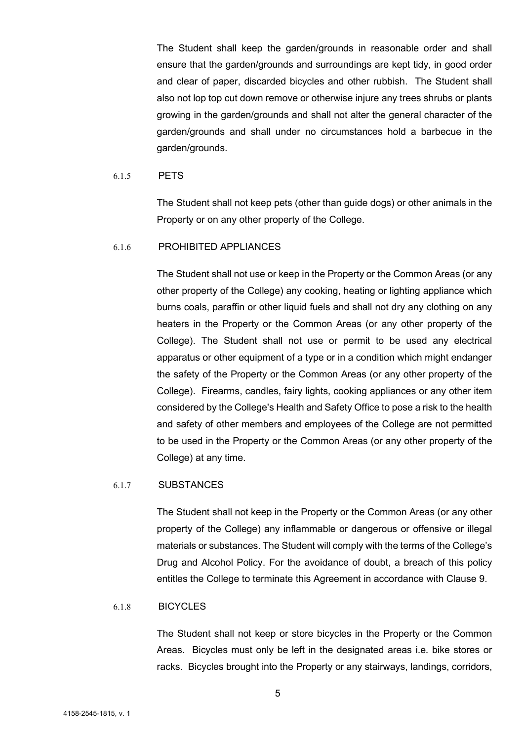The Student shall keep the garden/grounds in reasonable order and shall ensure that the garden/grounds and surroundings are kept tidy, in good order and clear of paper, discarded bicycles and other rubbish. The Student shall also not lop top cut down remove or otherwise injure any trees shrubs or plants growing in the garden/grounds and shall not alter the general character of the garden/grounds and shall under no circumstances hold a barbecue in the garden/grounds.

#### 6.1.5 PETS

The Student shall not keep pets (other than guide dogs) or other animals in the Property or on any other property of the College.

## 6.1.6 PROHIBITED APPLIANCES

The Student shall not use or keep in the Property or the Common Areas (or any other property of the College) any cooking, heating or lighting appliance which burns coals, paraffin or other liquid fuels and shall not dry any clothing on any heaters in the Property or the Common Areas (or any other property of the College). The Student shall not use or permit to be used any electrical apparatus or other equipment of a type or in a condition which might endanger the safety of the Property or the Common Areas (or any other property of the College). Firearms, candles, fairy lights, cooking appliances or any other item considered by the College's Health and Safety Office to pose a risk to the health and safety of other members and employees of the College are not permitted to be used in the Property or the Common Areas (or any other property of the College) at any time.

#### 6.1.7 SUBSTANCES

The Student shall not keep in the Property or the Common Areas (or any other property of the College) any inflammable or dangerous or offensive or illegal materials or substances. The Student will comply with the terms of the College's Drug and Alcohol Policy. For the avoidance of doubt, a breach of this policy entitles the College to terminate this Agreement in accordance with Clause 9.

### 6.1.8 BICYCLES

The Student shall not keep or store bicycles in the Property or the Common Areas. Bicycles must only be left in the designated areas i.e. bike stores or racks. Bicycles brought into the Property or any stairways, landings, corridors,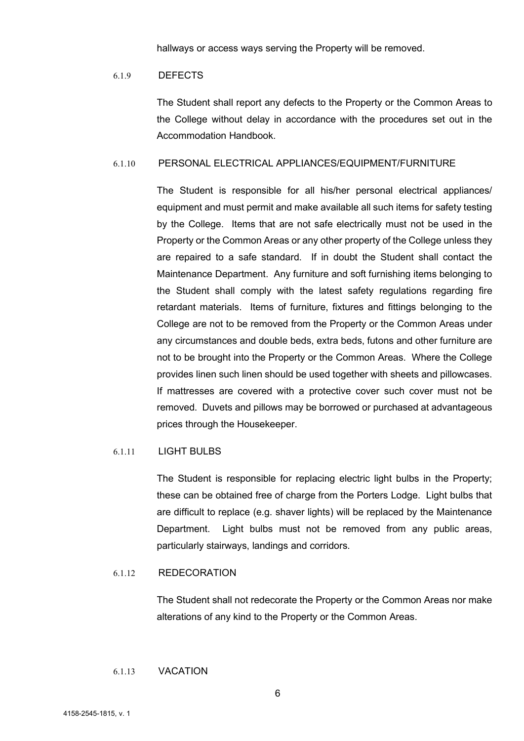hallways or access ways serving the Property will be removed.

#### 6.1.9 DEFECTS

The Student shall report any defects to the Property or the Common Areas to the College without delay in accordance with the procedures set out in the Accommodation Handbook.

### 6.1.10 PERSONAL ELECTRICAL APPLIANCES/EQUIPMENT/FURNITURE

The Student is responsible for all his/her personal electrical appliances/ equipment and must permit and make available all such items for safety testing by the College. Items that are not safe electrically must not be used in the Property or the Common Areas or any other property of the College unless they are repaired to a safe standard. If in doubt the Student shall contact the Maintenance Department. Any furniture and soft furnishing items belonging to the Student shall comply with the latest safety regulations regarding fire retardant materials. Items of furniture, fixtures and fittings belonging to the College are not to be removed from the Property or the Common Areas under any circumstances and double beds, extra beds, futons and other furniture are not to be brought into the Property or the Common Areas. Where the College provides linen such linen should be used together with sheets and pillowcases. If mattresses are covered with a protective cover such cover must not be removed. Duvets and pillows may be borrowed or purchased at advantageous prices through the Housekeeper.

## 6.1.11 LIGHT BULBS

The Student is responsible for replacing electric light bulbs in the Property; these can be obtained free of charge from the Porters Lodge. Light bulbs that are difficult to replace (e.g. shaver lights) will be replaced by the Maintenance Department. Light bulbs must not be removed from any public areas, particularly stairways, landings and corridors.

# 6.1.12 REDECORATION

The Student shall not redecorate the Property or the Common Areas nor make alterations of any kind to the Property or the Common Areas.

# 6.1.13 VACATION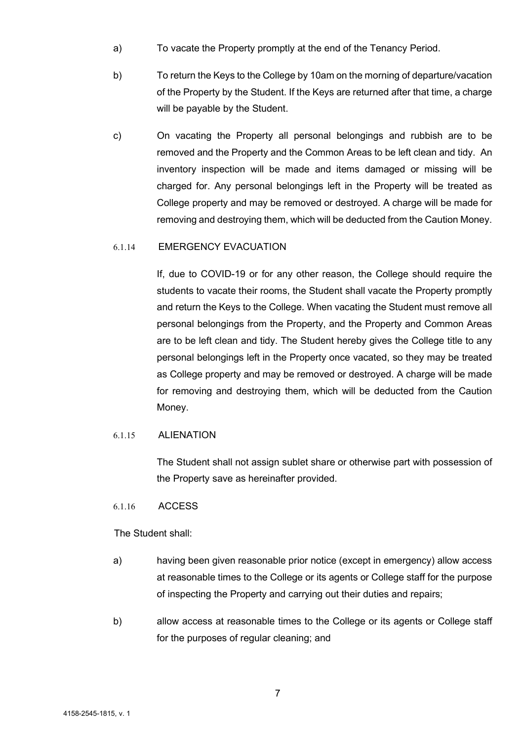- a) To vacate the Property promptly at the end of the Tenancy Period.
- b) To return the Keys to the College by 10am on the morning of departure/vacation of the Property by the Student. If the Keys are returned after that time, a charge will be payable by the Student.
- c) On vacating the Property all personal belongings and rubbish are to be removed and the Property and the Common Areas to be left clean and tidy. An inventory inspection will be made and items damaged or missing will be charged for. Any personal belongings left in the Property will be treated as College property and may be removed or destroyed. A charge will be made for removing and destroying them, which will be deducted from the Caution Money.

## 6.1.14 EMERGENCY EVACUATION

If, due to COVID-19 or for any other reason, the College should require the students to vacate their rooms, the Student shall vacate the Property promptly and return the Keys to the College. When vacating the Student must remove all personal belongings from the Property, and the Property and Common Areas are to be left clean and tidy. The Student hereby gives the College title to any personal belongings left in the Property once vacated, so they may be treated as College property and may be removed or destroyed. A charge will be made for removing and destroying them, which will be deducted from the Caution Money.

#### 6.1.15 ALIENATION

The Student shall not assign sublet share or otherwise part with possession of the Property save as hereinafter provided.

#### 6.1.16 ACCESS

The Student shall:

- a) having been given reasonable prior notice (except in emergency) allow access at reasonable times to the College or its agents or College staff for the purpose of inspecting the Property and carrying out their duties and repairs;
- b) allow access at reasonable times to the College or its agents or College staff for the purposes of regular cleaning; and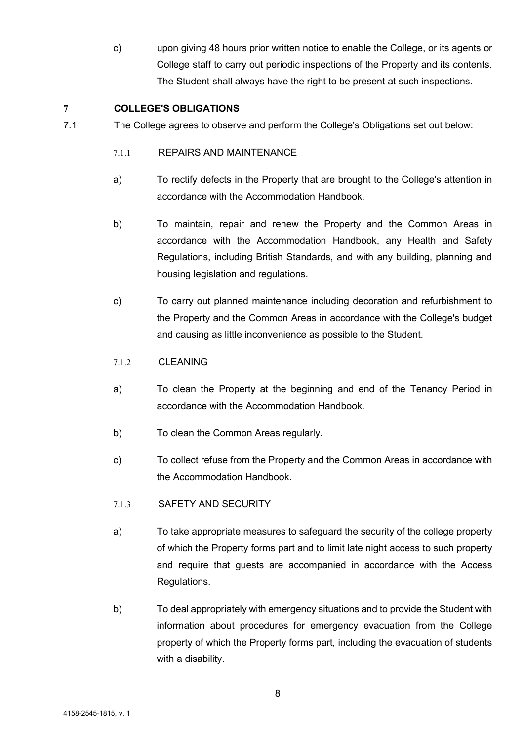c) upon giving 48 hours prior written notice to enable the College, or its agents or College staff to carry out periodic inspections of the Property and its contents. The Student shall always have the right to be present at such inspections.

# 7 COLLEGE'S OBLIGATIONS

- 7.1 The College agrees to observe and perform the College's Obligations set out below:
	- 7.1.1 REPAIRS AND MAINTENANCE
	- a) To rectify defects in the Property that are brought to the College's attention in accordance with the Accommodation Handbook.
	- b) To maintain, repair and renew the Property and the Common Areas in accordance with the Accommodation Handbook, any Health and Safety Regulations, including British Standards, and with any building, planning and housing legislation and regulations.
	- c) To carry out planned maintenance including decoration and refurbishment to the Property and the Common Areas in accordance with the College's budget and causing as little inconvenience as possible to the Student.

# 7.1.2 CLEANING

- a) To clean the Property at the beginning and end of the Tenancy Period in accordance with the Accommodation Handbook.
- b) To clean the Common Areas regularly.
- c) To collect refuse from the Property and the Common Areas in accordance with the Accommodation Handbook.
- 7.1.3 SAFETY AND SECURITY
- a) To take appropriate measures to safeguard the security of the college property of which the Property forms part and to limit late night access to such property and require that guests are accompanied in accordance with the Access Regulations.
- b) To deal appropriately with emergency situations and to provide the Student with information about procedures for emergency evacuation from the College property of which the Property forms part, including the evacuation of students with a disability.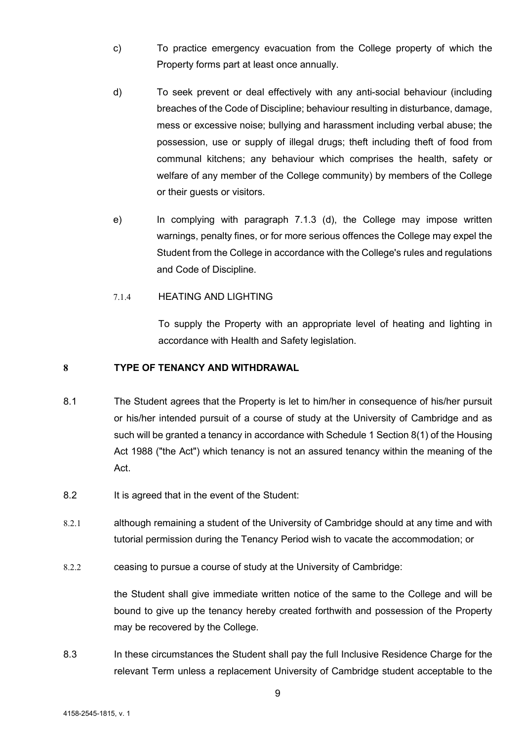- c) To practice emergency evacuation from the College property of which the Property forms part at least once annually.
- d) To seek prevent or deal effectively with any anti-social behaviour (including breaches of the Code of Discipline; behaviour resulting in disturbance, damage, mess or excessive noise; bullying and harassment including verbal abuse; the possession, use or supply of illegal drugs; theft including theft of food from communal kitchens; any behaviour which comprises the health, safety or welfare of any member of the College community) by members of the College or their guests or visitors.
- e) In complying with paragraph 7.1.3 (d), the College may impose written warnings, penalty fines, or for more serious offences the College may expel the Student from the College in accordance with the College's rules and regulations and Code of Discipline.

## 7.1.4 HEATING AND LIGHTING

To supply the Property with an appropriate level of heating and lighting in accordance with Health and Safety legislation.

# 8 TYPE OF TENANCY AND WITHDRAWAL

- 8.1 The Student agrees that the Property is let to him/her in consequence of his/her pursuit or his/her intended pursuit of a course of study at the University of Cambridge and as such will be granted a tenancy in accordance with Schedule 1 Section 8(1) of the Housing Act 1988 ("the Act") which tenancy is not an assured tenancy within the meaning of the Act.
- 8.2 It is agreed that in the event of the Student:
- 8.2.1 although remaining a student of the University of Cambridge should at any time and with tutorial permission during the Tenancy Period wish to vacate the accommodation; or
- 8.2.2 ceasing to pursue a course of study at the University of Cambridge:

the Student shall give immediate written notice of the same to the College and will be bound to give up the tenancy hereby created forthwith and possession of the Property may be recovered by the College.

8.3 In these circumstances the Student shall pay the full Inclusive Residence Charge for the relevant Term unless a replacement University of Cambridge student acceptable to the